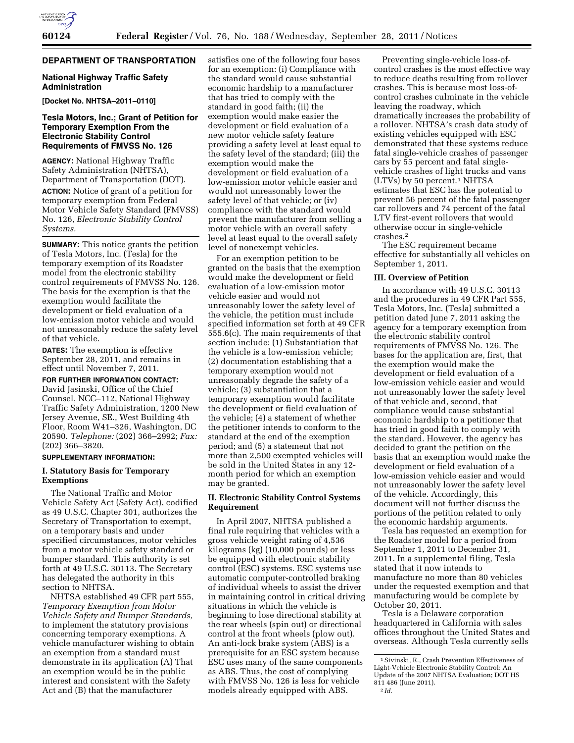# **DEPARTMENT OF TRANSPORTATION**

### **National Highway Traffic Safety Administration**

### **[Docket No. NHTSA–2011–0110]**

## **Tesla Motors, Inc.; Grant of Petition for Temporary Exemption From the Electronic Stability Control Requirements of FMVSS No. 126**

**AGENCY:** National Highway Traffic Safety Administration (NHTSA), Department of Transportation (DOT).

**ACTION:** Notice of grant of a petition for temporary exemption from Federal Motor Vehicle Safety Standard (FMVSS) No. 126, *Electronic Stability Control Systems.* 

**SUMMARY:** This notice grants the petition of Tesla Motors, Inc. (Tesla) for the temporary exemption of its Roadster model from the electronic stability control requirements of FMVSS No. 126. The basis for the exemption is that the exemption would facilitate the development or field evaluation of a low-emission motor vehicle and would not unreasonably reduce the safety level of that vehicle.

**DATES:** The exemption is effective September 28, 2011, and remains in effect until November 7, 2011.

### **FOR FURTHER INFORMATION CONTACT:**  David Jasinski, Office of the Chief Counsel, NCC–112, National Highway Traffic Safety Administration, 1200 New Jersey Avenue, SE., West Building 4th Floor, Room W41–326, Washington, DC 20590. *Telephone:* (202) 366–2992; *Fax:*  (202) 366–3820.

### **SUPPLEMENTARY INFORMATION:**

## **I. Statutory Basis for Temporary Exemptions**

The National Traffic and Motor Vehicle Safety Act (Safety Act), codified as 49 U.S.C. Chapter 301, authorizes the Secretary of Transportation to exempt, on a temporary basis and under specified circumstances, motor vehicles from a motor vehicle safety standard or bumper standard. This authority is set forth at 49 U.S.C. 30113. The Secretary has delegated the authority in this section to NHTSA.

NHTSA established 49 CFR part 555, *Temporary Exemption from Motor Vehicle Safety and Bumper Standards,*  to implement the statutory provisions concerning temporary exemptions. A vehicle manufacturer wishing to obtain an exemption from a standard must demonstrate in its application (A) That an exemption would be in the public interest and consistent with the Safety Act and (B) that the manufacturer

satisfies one of the following four bases for an exemption: (i) Compliance with the standard would cause substantial economic hardship to a manufacturer that has tried to comply with the standard in good faith; (ii) the exemption would make easier the development or field evaluation of a new motor vehicle safety feature providing a safety level at least equal to the safety level of the standard; (iii) the exemption would make the development or field evaluation of a low-emission motor vehicle easier and would not unreasonably lower the safety level of that vehicle; or (iv) compliance with the standard would prevent the manufacturer from selling a motor vehicle with an overall safety level at least equal to the overall safety level of nonexempt vehicles.

For an exemption petition to be granted on the basis that the exemption would make the development or field evaluation of a low-emission motor vehicle easier and would not unreasonably lower the safety level of the vehicle, the petition must include specified information set forth at 49 CFR 555.6(c). The main requirements of that section include: (1) Substantiation that the vehicle is a low-emission vehicle; (2) documentation establishing that a temporary exemption would not unreasonably degrade the safety of a vehicle; (3) substantiation that a temporary exemption would facilitate the development or field evaluation of the vehicle; (4) a statement of whether the petitioner intends to conform to the standard at the end of the exemption period; and (5) a statement that not more than 2,500 exempted vehicles will be sold in the United States in any 12 month period for which an exemption may be granted.

## **II. Electronic Stability Control Systems Requirement**

In April 2007, NHTSA published a final rule requiring that vehicles with a gross vehicle weight rating of 4,536 kilograms (kg) (10,000 pounds) or less be equipped with electronic stability control (ESC) systems. ESC systems use automatic computer-controlled braking of individual wheels to assist the driver in maintaining control in critical driving situations in which the vehicle is beginning to lose directional stability at the rear wheels (spin out) or directional control at the front wheels (plow out). An anti-lock brake system (ABS) is a prerequisite for an ESC system because ESC uses many of the same components as ABS. Thus, the cost of complying with FMVSS No. 126 is less for vehicle models already equipped with ABS.

Preventing single-vehicle loss-ofcontrol crashes is the most effective way to reduce deaths resulting from rollover crashes. This is because most loss-ofcontrol crashes culminate in the vehicle leaving the roadway, which dramatically increases the probability of a rollover. NHTSA's crash data study of existing vehicles equipped with ESC demonstrated that these systems reduce fatal single-vehicle crashes of passenger cars by 55 percent and fatal singlevehicle crashes of light trucks and vans (LTVs) by 50 percent.1 NHTSA estimates that ESC has the potential to prevent 56 percent of the fatal passenger car rollovers and 74 percent of the fatal LTV first-event rollovers that would otherwise occur in single-vehicle crashes.2

The ESC requirement became effective for substantially all vehicles on September 1, 2011.

### **III. Overview of Petition**

In accordance with 49 U.S.C. 30113 and the procedures in 49 CFR Part 555, Tesla Motors, Inc. (Tesla) submitted a petition dated June 7, 2011 asking the agency for a temporary exemption from the electronic stability control requirements of FMVSS No. 126. The bases for the application are, first, that the exemption would make the development or field evaluation of a low-emission vehicle easier and would not unreasonably lower the safety level of that vehicle and, second, that compliance would cause substantial economic hardship to a petitioner that has tried in good faith to comply with the standard. However, the agency has decided to grant the petition on the basis that an exemption would make the development or field evaluation of a low-emission vehicle easier and would not unreasonably lower the safety level of the vehicle. Accordingly, this document will not further discuss the portions of the petition related to only the economic hardship arguments.

Tesla has requested an exemption for the Roadster model for a period from September 1, 2011 to December 31, 2011. In a supplemental filing, Tesla stated that it now intends to manufacture no more than 80 vehicles under the requested exemption and that manufacturing would be complete by October 20, 2011.

Tesla is a Delaware corporation headquartered in California with sales offices throughout the United States and overseas. Although Tesla currently sells

<sup>1</sup>Sivinski, R., Crash Prevention Effectiveness of Light-Vehicle Electronic Stability Control: An Update of the 2007 NHTSA Evaluation; DOT HS 811 486 (June 2011). 2 *Id.*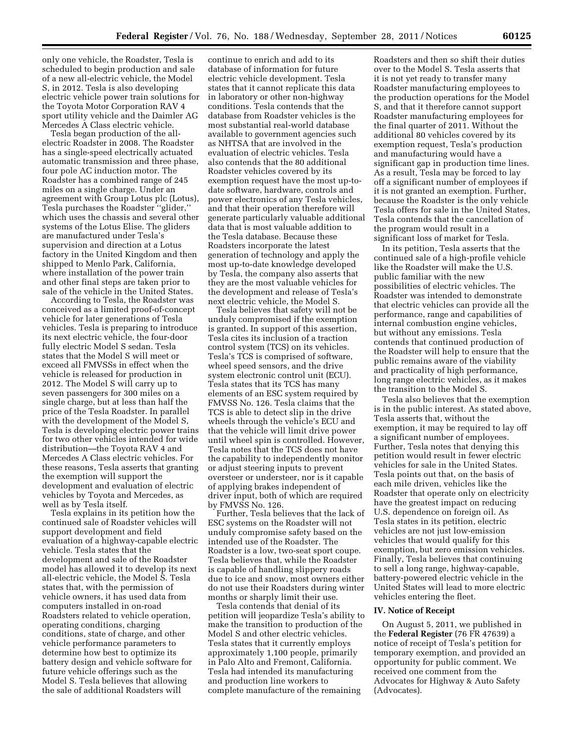only one vehicle, the Roadster, Tesla is scheduled to begin production and sale of a new all-electric vehicle, the Model S, in 2012. Tesla is also developing electric vehicle power train solutions for the Toyota Motor Corporation RAV 4 sport utility vehicle and the Daimler AG Mercedes A Class electric vehicle.

Tesla began production of the allelectric Roadster in 2008. The Roadster has a single-speed electrically actuated automatic transmission and three phase, four pole AC induction motor. The Roadster has a combined range of 245 miles on a single charge. Under an agreement with Group Lotus plc (Lotus), Tesla purchases the Roadster ''glider,'' which uses the chassis and several other systems of the Lotus Elise. The gliders are manufactured under Tesla's supervision and direction at a Lotus factory in the United Kingdom and then shipped to Menlo Park, California, where installation of the power train and other final steps are taken prior to sale of the vehicle in the United States.

According to Tesla, the Roadster was conceived as a limited proof-of-concept vehicle for later generations of Tesla vehicles. Tesla is preparing to introduce its next electric vehicle, the four-door fully electric Model S sedan. Tesla states that the Model S will meet or exceed all FMVSSs in effect when the vehicle is released for production in 2012. The Model S will carry up to seven passengers for 300 miles on a single charge, but at less than half the price of the Tesla Roadster. In parallel with the development of the Model S, Tesla is developing electric power trains for two other vehicles intended for wide distribution—the Toyota RAV 4 and Mercedes A Class electric vehicles. For these reasons, Tesla asserts that granting the exemption will support the development and evaluation of electric vehicles by Toyota and Mercedes, as well as by Tesla itself.

Tesla explains in its petition how the continued sale of Roadster vehicles will support development and field evaluation of a highway-capable electric vehicle. Tesla states that the development and sale of the Roadster model has allowed it to develop its next all-electric vehicle, the Model S. Tesla states that, with the permission of vehicle owners, it has used data from computers installed in on-road Roadsters related to vehicle operation, operating conditions, charging conditions, state of charge, and other vehicle performance parameters to determine how best to optimize its battery design and vehicle software for future vehicle offerings such as the Model S. Tesla believes that allowing the sale of additional Roadsters will

continue to enrich and add to its database of information for future electric vehicle development. Tesla states that it cannot replicate this data in laboratory or other non-highway conditions. Tesla contends that the database from Roadster vehicles is the most substantial real-world database available to government agencies such as NHTSA that are involved in the evaluation of electric vehicles. Tesla also contends that the 80 additional Roadster vehicles covered by its exemption request have the most up-todate software, hardware, controls and power electronics of any Tesla vehicles, and that their operation therefore will generate particularly valuable additional data that is most valuable addition to the Tesla database. Because these Roadsters incorporate the latest generation of technology and apply the most up-to-date knowledge developed by Tesla, the company also asserts that they are the most valuable vehicles for the development and release of Tesla's next electric vehicle, the Model S.

Tesla believes that safety will not be unduly compromised if the exemption is granted. In support of this assertion, Tesla cites its inclusion of a traction control system (TCS) on its vehicles. Tesla's TCS is comprised of software, wheel speed sensors, and the drive system electronic control unit (ECU). Tesla states that its TCS has many elements of an ESC system required by FMVSS No. 126. Tesla claims that the TCS is able to detect slip in the drive wheels through the vehicle's ECU and that the vehicle will limit drive power until wheel spin is controlled. However, Tesla notes that the TCS does not have the capability to independently monitor or adjust steering inputs to prevent oversteer or understeer, nor is it capable of applying brakes independent of driver input, both of which are required by FMVSS No. 126.

Further, Tesla believes that the lack of ESC systems on the Roadster will not unduly compromise safety based on the intended use of the Roadster. The Roadster is a low, two-seat sport coupe. Tesla believes that, while the Roadster is capable of handling slippery roads due to ice and snow, most owners either do not use their Roadsters during winter months or sharply limit their use.

Tesla contends that denial of its petition will jeopardize Tesla's ability to make the transition to production of the Model S and other electric vehicles. Tesla states that it currently employs approximately 1,100 people, primarily in Palo Alto and Fremont, California. Tesla had intended its manufacturing and production line workers to complete manufacture of the remaining

Roadsters and then so shift their duties over to the Model S. Tesla asserts that it is not yet ready to transfer many Roadster manufacturing employees to the production operations for the Model S, and that it therefore cannot support Roadster manufacturing employees for the final quarter of 2011. Without the additional 80 vehicles covered by its exemption request, Tesla's production and manufacturing would have a significant gap in production time lines. As a result, Tesla may be forced to lay off a significant number of employees if it is not granted an exemption. Further, because the Roadster is the only vehicle Tesla offers for sale in the United States, Tesla contends that the cancellation of the program would result in a significant loss of market for Tesla.

In its petition, Tesla asserts that the continued sale of a high-profile vehicle like the Roadster will make the U.S. public familiar with the new possibilities of electric vehicles. The Roadster was intended to demonstrate that electric vehicles can provide all the performance, range and capabilities of internal combustion engine vehicles, but without any emissions. Tesla contends that continued production of the Roadster will help to ensure that the public remains aware of the viability and practicality of high performance, long range electric vehicles, as it makes the transition to the Model S.

Tesla also believes that the exemption is in the public interest. As stated above, Tesla asserts that, without the exemption, it may be required to lay off a significant number of employees. Further, Tesla notes that denying this petition would result in fewer electric vehicles for sale in the United States. Tesla points out that, on the basis of each mile driven, vehicles like the Roadster that operate only on electricity have the greatest impact on reducing U.S. dependence on foreign oil. As Tesla states in its petition, electric vehicles are not just low-emission vehicles that would qualify for this exemption, but zero emission vehicles. Finally, Tesla believes that continuing to sell a long range, highway-capable, battery-powered electric vehicle in the United States will lead to more electric vehicles entering the fleet.

#### **IV. Notice of Receipt**

On August 5, 2011, we published in the **Federal Register** (76 FR 47639) a notice of receipt of Tesla's petition for temporary exemption, and provided an opportunity for public comment. We received one comment from the Advocates for Highway & Auto Safety (Advocates).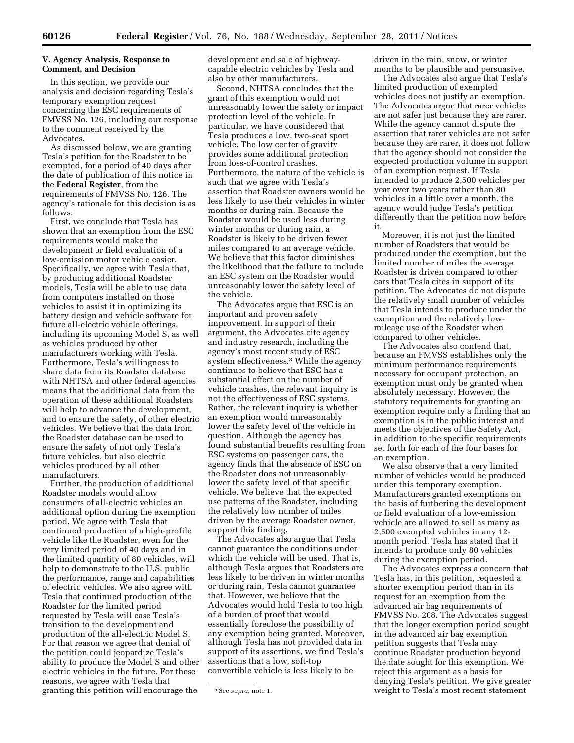### **V. Agency Analysis, Response to Comment, and Decision**

In this section, we provide our analysis and decision regarding Tesla's temporary exemption request concerning the ESC requirements of FMVSS No. 126, including our response to the comment received by the Advocates.

As discussed below, we are granting Tesla's petition for the Roadster to be exempted, for a period of 40 days after the date of publication of this notice in the **Federal Register**, from the requirements of FMVSS No. 126. The agency's rationale for this decision is as follows:

First, we conclude that Tesla has shown that an exemption from the ESC requirements would make the development or field evaluation of a low-emission motor vehicle easier. Specifically, we agree with Tesla that, by producing additional Roadster models, Tesla will be able to use data from computers installed on those vehicles to assist it in optimizing its battery design and vehicle software for future all-electric vehicle offerings, including its upcoming Model S, as well as vehicles produced by other manufacturers working with Tesla. Furthermore, Tesla's willingness to share data from its Roadster database with NHTSA and other federal agencies means that the additional data from the operation of these additional Roadsters will help to advance the development, and to ensure the safety, of other electric vehicles. We believe that the data from the Roadster database can be used to ensure the safety of not only Tesla's future vehicles, but also electric vehicles produced by all other manufacturers.

Further, the production of additional Roadster models would allow consumers of all-electric vehicles an additional option during the exemption period. We agree with Tesla that continued production of a high-profile vehicle like the Roadster, even for the very limited period of 40 days and in the limited quantity of 80 vehicles, will help to demonstrate to the U.S. public the performance, range and capabilities of electric vehicles. We also agree with Tesla that continued production of the Roadster for the limited period requested by Tesla will ease Tesla's transition to the development and production of the all-electric Model S. For that reason we agree that denial of the petition could jeopardize Tesla's ability to produce the Model S and other electric vehicles in the future. For these reasons, we agree with Tesla that granting this petition will encourage the

development and sale of highwaycapable electric vehicles by Tesla and also by other manufacturers.

Second, NHTSA concludes that the grant of this exemption would not unreasonably lower the safety or impact protection level of the vehicle. In particular, we have considered that Tesla produces a low, two-seat sport vehicle. The low center of gravity provides some additional protection from loss-of-control crashes. Furthermore, the nature of the vehicle is such that we agree with Tesla's assertion that Roadster owners would be less likely to use their vehicles in winter months or during rain. Because the Roadster would be used less during winter months or during rain, a Roadster is likely to be driven fewer miles compared to an average vehicle. We believe that this factor diminishes the likelihood that the failure to include an ESC system on the Roadster would unreasonably lower the safety level of the vehicle.

The Advocates argue that ESC is an important and proven safety improvement. In support of their argument, the Advocates cite agency and industry research, including the agency's most recent study of ESC system effectiveness.3 While the agency continues to believe that ESC has a substantial effect on the number of vehicle crashes, the relevant inquiry is not the effectiveness of ESC systems. Rather, the relevant inquiry is whether an exemption would unreasonably lower the safety level of the vehicle in question. Although the agency has found substantial benefits resulting from ESC systems on passenger cars, the agency finds that the absence of ESC on the Roadster does not unreasonably lower the safety level of that specific vehicle. We believe that the expected use patterns of the Roadster, including the relatively low number of miles driven by the average Roadster owner, support this finding.

The Advocates also argue that Tesla cannot guarantee the conditions under which the vehicle will be used. That is, although Tesla argues that Roadsters are less likely to be driven in winter months or during rain, Tesla cannot guarantee that. However, we believe that the Advocates would hold Tesla to too high of a burden of proof that would essentially foreclose the possibility of any exemption being granted. Moreover, although Tesla has not provided data in support of its assertions, we find Tesla's assertions that a low, soft-top convertible vehicle is less likely to be

driven in the rain, snow, or winter months to be plausible and persuasive.

The Advocates also argue that Tesla's limited production of exempted vehicles does not justify an exemption. The Advocates argue that rarer vehicles are not safer just because they are rarer. While the agency cannot dispute the assertion that rarer vehicles are not safer because they are rarer, it does not follow that the agency should not consider the expected production volume in support of an exemption request. If Tesla intended to produce 2,500 vehicles per year over two years rather than 80 vehicles in a little over a month, the agency would judge Tesla's petition differently than the petition now before it.

Moreover, it is not just the limited number of Roadsters that would be produced under the exemption, but the limited number of miles the average Roadster is driven compared to other cars that Tesla cites in support of its petition. The Advocates do not dispute the relatively small number of vehicles that Tesla intends to produce under the exemption and the relatively lowmileage use of the Roadster when compared to other vehicles.

The Advocates also contend that, because an FMVSS establishes only the minimum performance requirements necessary for occupant protection, an exemption must only be granted when absolutely necessary. However, the statutory requirements for granting an exemption require only a finding that an exemption is in the public interest and meets the objectives of the Safety Act, in addition to the specific requirements set forth for each of the four bases for an exemption.

We also observe that a very limited number of vehicles would be produced under this temporary exemption. Manufacturers granted exemptions on the basis of furthering the development or field evaluation of a low-emission vehicle are allowed to sell as many as 2,500 exempted vehicles in any 12 month period. Tesla has stated that it intends to produce only 80 vehicles during the exemption period.

The Advocates express a concern that Tesla has, in this petition, requested a shorter exemption period than in its request for an exemption from the advanced air bag requirements of FMVSS No. 208. The Advocates suggest that the longer exemption period sought in the advanced air bag exemption petition suggests that Tesla may continue Roadster production beyond the date sought for this exemption. We reject this argument as a basis for denying Tesla's petition. We give greater weight to Tesla's most recent statement

<sup>3</sup>See *supra,* note 1.